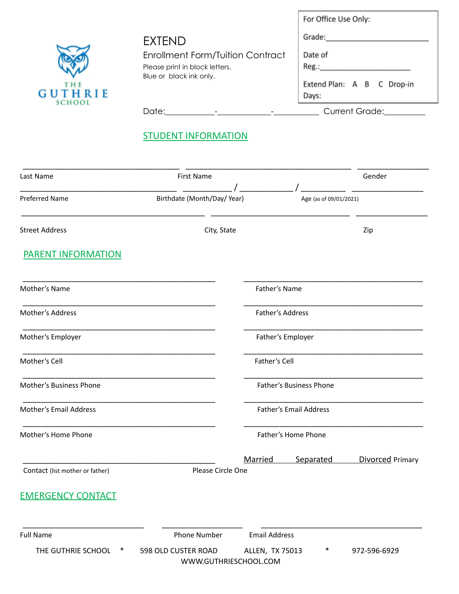|                                   |                                         | For Office Use Only:                |
|-----------------------------------|-----------------------------------------|-------------------------------------|
|                                   | <b>EXTEND</b>                           | Grade:                              |
|                                   | <b>Enrollment Form/Tuition Contract</b> | Date of                             |
|                                   | Please print in block letters.          | Reg.:                               |
| T H E<br>GUTHRIE<br><b>SCHOOL</b> | Blue or black ink only.                 | Extend Plan: A B C Drop-in<br>Days: |
|                                   | Date:                                   | <b>Current Grade:</b>               |

# **STUDENT INFORMATION**

| Last Name                       | <b>First Name</b>                            |                      |                         | Gender           |
|---------------------------------|----------------------------------------------|----------------------|-------------------------|------------------|
| <b>Preferred Name</b>           | Birthdate (Month/Day/Year)                   |                      | Age (as of 09/01/2021)  |                  |
| <b>Street Address</b>           | City, State                                  |                      |                         | Zip              |
| PARENT INFORMATION              |                                              |                      |                         |                  |
| Mother's Name                   |                                              | Father's Name        |                         |                  |
| Mother's Address                |                                              | Father's Address     |                         |                  |
| Mother's Employer               |                                              |                      | Father's Employer       |                  |
| Mother's Cell                   |                                              | Father's Cell        |                         |                  |
| Mother's Business Phone         |                                              |                      | Father's Business Phone |                  |
| Mother's Email Address          |                                              |                      | Father's Email Address  |                  |
| Mother's Home Phone             |                                              |                      | Father's Home Phone     |                  |
| Contact (list mother or father) | Please Circle One                            | Married              | Separated               | Divorced Primary |
| <b>EMERGENCY CONTACT</b>        |                                              |                      |                         |                  |
| <b>Full Name</b>                | <b>Phone Number</b>                          | <b>Email Address</b> |                         |                  |
| THE GUTHRIE SCHOOL              | 598 OLD CUSTER ROAD<br>WWW.GUTHRIESCHOOL.COM | ALLEN, TX 75013      | ∗                       | 972-596-6929     |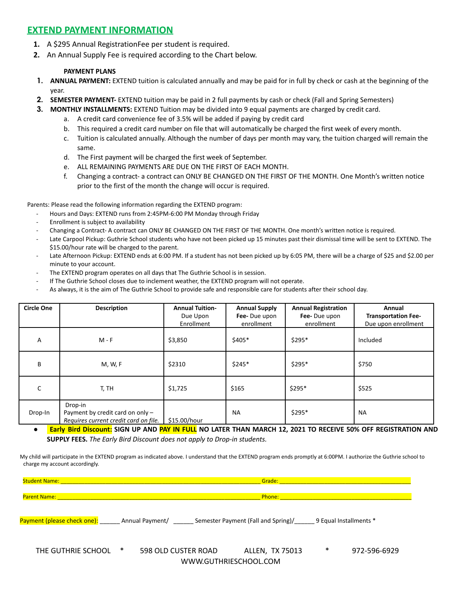## **EXTEND PAYMENT INFORMATION**

- **1.** A \$295 Annual RegistrationFee per student is required.
- **2.** An Annual Supply Fee is required according to the Chart below.

### **PAYMENT PLANS**

- **1. ANNUAL PAYMENT:** EXTEND tuition is calculated annually and may be paid for in full by check or cash at the beginning of the year.
- **2. SEMESTER PAYMENT-** EXTEND tuition may be paid in 2 full payments by cash or check (Fall and Spring Semesters)
- **3. MONTHLY INSTALLMENTS:** EXTEND Tuition may be divided into 9 equal payments are charged by credit card.
	- a. A credit card convenience fee of 3.5% will be added if paying by credit card
	- b. This required a credit card number on file that will automatically be charged the first week of every month.
	- c. Tuition is calculated annually. Although the number of days per month may vary, the tuition charged will remain the same.
	- d. The First payment will be charged the first week of September.
	- e. ALL REMAINING PAYMENTS ARE DUE ON THE FIRST OF EACH MONTH.
	- f. Changing a contract- a contract can ONLY BE CHANGED ON THE FIRST OF THE MONTH. One Month's written notice prior to the first of the month the change will occur is required.

Parents: Please read the following information regarding the EXTEND program:

- Hours and Days: EXTEND runs from 2:45PM-6:00 PM Monday through Friday
- Enrollment is subject to availability
- Changing a Contract- A contract can ONLY BE CHANGED ON THE FIRST OF THE MONTH. One month's written notice is required.
- Late Carpool Pickup: Guthrie School students who have not been picked up 15 minutes past their dismissal time will be sent to EXTEND. The \$15.00/hour rate will be charged to the parent.
- Late Afternoon Pickup: EXTEND ends at 6:00 PM. If a student has not been picked up by 6:05 PM, there will be a charge of \$25 and \$2.00 per minute to your account.
- The EXTEND program operates on all days that The Guthrie School is in session.
- If The Guthrie School closes due to inclement weather, the EXTEND program will not operate.
- As always, it is the aim of The Guthrie School to provide safe and responsible care for students after their school day.

| <b>Circle One</b> | <b>Description</b>                                                                     | <b>Annual Tuition-</b><br>Due Upon<br>Enrollment | <b>Annual Supply</b><br>Fee-Due upon<br>enrollment | <b>Annual Registration</b><br>Fee-Due upon<br>enrollment | Annual<br><b>Transportation Fee-</b><br>Due upon enrollment |
|-------------------|----------------------------------------------------------------------------------------|--------------------------------------------------|----------------------------------------------------|----------------------------------------------------------|-------------------------------------------------------------|
| A                 | $M - F$                                                                                | \$3,850                                          | \$405*                                             | $$295*$                                                  | Included                                                    |
| B                 | M, W, F                                                                                | \$2310                                           | $$245*$                                            | \$295*                                                   | \$750                                                       |
| C                 | T, TH                                                                                  | \$1,725                                          | \$165                                              | \$295*                                                   | \$525                                                       |
| Drop-In           | Drop-in<br>Payment by credit card on only $-$<br>Requires current credit card on file. | \$15.00/hour                                     | <b>NA</b>                                          | $$295*$                                                  | <b>NA</b>                                                   |

. Early Bird Discount: SIGN UP AND PAY IN FULL NO LATER THAN MARCH 12, 2021 TO RECEIVE 50% OFF REGISTRATION AND **SUPPLY FEES.** *The Early Bird Discount does not apply to Drop-in students.*

My child will participate in the EXTEND program as indicated above. I understand that the EXTEND program ends promptly at 6:00PM. I authorize the Guthrie school to charge my account accordingly.

|                    | Student Name: Name and Student Name and Student Name and Student Name and Student Name and Student Name and St<br>Grade: The Grade State                                                                                                                                                                                                                 |                                                                                                                         |                        |   |              |
|--------------------|----------------------------------------------------------------------------------------------------------------------------------------------------------------------------------------------------------------------------------------------------------------------------------------------------------------------------------------------------------|-------------------------------------------------------------------------------------------------------------------------|------------------------|---|--------------|
|                    |                                                                                                                                                                                                                                                                                                                                                          |                                                                                                                         |                        |   |              |
|                    | Parent Name: Name and the contract of the contract of the contract of the contract of the contract of the contract of the contract of the contract of the contract of the contract of the contract of the contract of the cont<br><b>Phone:</b> Phone Property of the Contract of the Contract of the Contract of the Contract of the Contract of the Co |                                                                                                                         |                        |   |              |
|                    |                                                                                                                                                                                                                                                                                                                                                          |                                                                                                                         |                        |   |              |
|                    |                                                                                                                                                                                                                                                                                                                                                          | Payment (please check one): The Annual Payment/ Theory Semester Payment (Fall and Spring)/ Theory Bequal Installments * |                        |   |              |
| THE GUTHRIE SCHOOL | ∗                                                                                                                                                                                                                                                                                                                                                        | 598 OLD CUSTER ROAD                                                                                                     | <b>ALLEN, TX 75013</b> | ∗ | 972-596-6929 |
|                    |                                                                                                                                                                                                                                                                                                                                                          | WWW.GUTHRIESCHOOL.COM                                                                                                   |                        |   |              |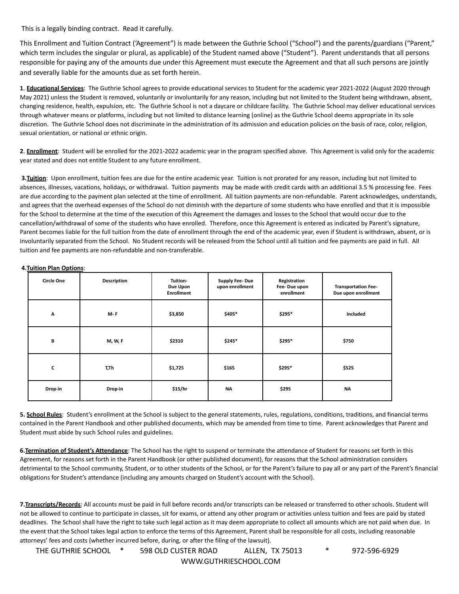This is a legally binding contract. Read it carefully.

This Enrollment and Tuition Contract ('Agreement") is made between the Guthrie School ("School") and the parents/guardians ("Parent," which term includes the singular or plural, as applicable) of the Student named above ("Student"). Parent understands that all persons responsible for paying any of the amounts due under this Agreement must execute the Agreement and that all such persons are jointly and severally liable for the amounts due as set forth herein.

**1**. **Educational Services**: The Guthrie School agrees to provide educational services to Student for the academic year 2021-2022 (August 2020 through May 2021) unless the Student is removed, voluntarily or involuntarily for any reason, including but not limited to the Student being withdrawn, absent, changing residence, health, expulsion, etc. The Guthrie School is not a daycare or childcare facility. The Guthrie School may deliver educational services through whatever means or platforms, including but not limited to distance learning (online) as the Guthrie School deems appropriate in its sole discretion. The Guthrie School does not discriminate in the administration of its admission and education policies on the basis of race, color, religion, sexual orientation, or national or ethnic origin.

**2**. **Enrollment**: Student will be enrolled for the 2021-2022 academic year in the program specified above. This Agreement is valid only for the academic year stated and does not entitle Student to any future enrollment.

**3.Tuition**: Upon enrollment, tuition fees are due for the entire academic year. Tuition is not prorated for any reason, including but not limited to absences, illnesses, vacations, holidays, or withdrawal. Tuition payments may be made with credit cards with an additional 3.5 % processing fee. Fees are due according to the payment plan selected at the time of enrollment. All tuition payments are non-refundable. Parent acknowledges, understands, and agrees that the overhead expenses of the School do not diminish with the departure of some students who have enrolled and that it is impossible for the School to determine at the time of the execution of this Agreement the damages and losses to the School that would occur due to the cancellation/withdrawal of some of the students who have enrolled. Therefore, once this Agreement is entered as indicated by Parent's signature, Parent becomes liable for the full tuition from the date of enrollment through the end of the academic year, even if Student is withdrawn, absent, or is involuntarily separated from the School. No Student records will be released from the School until all tuition and fee payments are paid in full. All tuition and fee payments are non-refundable and non-transferable.

#### **4.Tuition Plan Options**:

| <b>Circle One</b> | Description    | Tuition-<br>Due Upon<br><b>Enrollment</b> | <b>Supply Fee-Due</b><br>upon enrollment | Registration<br>Fee-Due upon<br>enrollment | <b>Transportation Fee-</b><br>Due upon enrollment |
|-------------------|----------------|-------------------------------------------|------------------------------------------|--------------------------------------------|---------------------------------------------------|
| A                 | M-F            | \$3,850                                   | \$405*                                   | \$295*                                     | Included                                          |
| B                 | <b>M, W, F</b> | \$2310                                    | \$245*                                   | \$295*                                     | \$750                                             |
| $\mathsf{c}$      | T,Th           | \$1,725                                   | \$165                                    | \$295*                                     | \$525                                             |
| Drop-in           | Drop-in        | \$15/hr                                   | <b>NA</b>                                | \$295                                      | <b>NA</b>                                         |

**5. School Rules**: Student's enrollment at the School is subject to the general statements, rules, regulations, conditions, traditions, and financial terms contained in the Parent Handbook and other published documents, which may be amended from time to time. Parent acknowledges that Parent and Student must abide by such School rules and guidelines.

**6.Termination of Student's Attendance**: The School has the right to suspend or terminate the attendance of Student for reasons set forth in this Agreement, for reasons set forth in the Parent Handbook (or other published document), for reasons that the School administration considers detrimental to the School community, Student, or to other students of the School, or for the Parent's failure to pay all or any part of the Parent's financial obligations for Student's attendance (including any amounts charged on Student's account with the School).

**7.Transcripts/Records**: All accounts must be paid in full before records and/or transcripts can be released or transferred to other schools. Student will not be allowed to continue to participate in classes, sit for exams, or attend any other program or activities unless tuition and fees are paid by stated deadlines. The School shall have the right to take such legal action as it may deem appropriate to collect all amounts which are not paid when due. In the event that the School takes legal action to enforce the terms of this Agreement, Parent shall be responsible for all costs, including reasonable attorneys' fees and costs (whether incurred before, during, or after the filing of the lawsuit).

THE GUTHRIE SCHOOL \* 598 OLD CUSTER ROAD ALLEN, TX 75013 \* 972-596-6929 WWW.GUTHRIESCHOOL.COM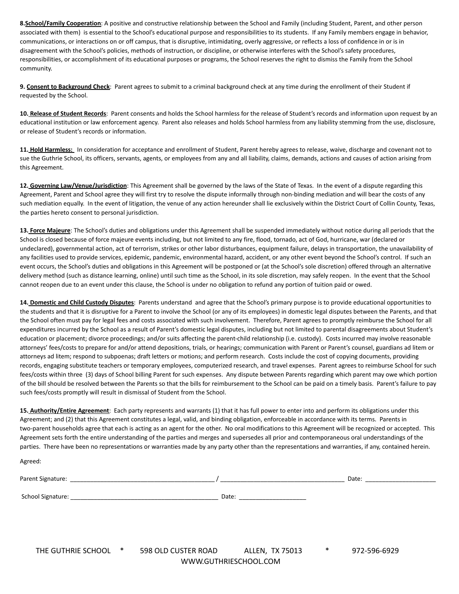**8.School/Family Cooperation**: A positive and constructive relationship between the School and Family (including Student, Parent, and other person associated with them) is essential to the School's educational purpose and responsibilities to its students. If any Family members engage in behavior, communications, or interactions on or off campus, that is disruptive, intimidating, overly aggressive, or reflects a loss of confidence in or is in disagreement with the School's policies, methods of instruction, or discipline, or otherwise interferes with the School's safety procedures, responsibilities, or accomplishment of its educational purposes or programs, the School reserves the right to dismiss the Family from the School community.

**9. Consent to Background Check**: Parent agrees to submit to a criminal background check at any time during the enrollment of their Student if requested by the School.

**10. Release of Student Records**: Parent consents and holds the School harmless for the release of Student's records and information upon request by an educational institution or law enforcement agency. Parent also releases and holds School harmless from any liability stemming from the use, disclosure, or release of Student's records or information.

**11. Hold Harmless:** In consideration for acceptance and enrollment of Student, Parent hereby agrees to release, waive, discharge and covenant not to sue the Guthrie School, its officers, servants, agents, or employees from any and all liability, claims, demands, actions and causes of action arising from this Agreement.

**12. Governing Law/Venue/Jurisdiction**: This Agreement shall be governed by the laws of the State of Texas. In the event of a dispute regarding this Agreement, Parent and School agree they will first try to resolve the dispute informally through non-binding mediation and will bear the costs of any such mediation equally. In the event of litigation, the venue of any action hereunder shall lie exclusively within the District Court of Collin County, Texas, the parties hereto consent to personal jurisdiction.

**13. Force Majeure**: The School's duties and obligations under this Agreement shall be suspended immediately without notice during all periods that the School is closed because of force majeure events including, but not limited to any fire, flood, tornado, act of God, hurricane, war (declared or undeclared), governmental action, act of terrorism, strikes or other labor disturbances, equipment failure, delays in transportation, the unavailability of any facilities used to provide services, epidemic, pandemic, environmental hazard, accident, or any other event beyond the School's control. If such an event occurs, the School's duties and obligations in this Agreement will be postponed or (at the School's sole discretion) offered through an alternative delivery method (such as distance learning, online) until such time as the School, in its sole discretion, may safely reopen. In the event that the School cannot reopen due to an event under this clause, the School is under no obligation to refund any portion of tuition paid or owed.

**14. Domestic and Child Custody Disputes**: Parents understand and agree that the School's primary purpose is to provide educational opportunities to the students and that it is disruptive for a Parent to involve the School (or any of its employees) in domestic legal disputes between the Parents, and that the School often must pay for legal fees and costs associated with such involvement. Therefore, Parent agrees to promptly reimburse the School for all expenditures incurred by the School as a result of Parent's domestic legal disputes, including but not limited to parental disagreements about Student's education or placement; divorce proceedings; and/or suits affecting the parent-child relationship (i.e. custody). Costs incurred may involve reasonable attorneys' fees/costs to prepare for and/or attend depositions, trials, or hearings; communication with Parent or Parent's counsel, guardians ad litem or attorneys ad litem; respond to subpoenas; draft letters or motions; and perform research. Costs include the cost of copying documents, providing records, engaging substitute teachers or temporary employees, computerized research, and travel expenses. Parent agrees to reimburse School for such fees/costs within three (3) days of School billing Parent for such expenses. Any dispute between Parents regarding which parent may owe which portion of the bill should be resolved between the Parents so that the bills for reimbursement to the School can be paid on a timely basis. Parent's failure to pay such fees/costs promptly will result in dismissal of Student from the School.

**15. Authority/Entire Agreement**: Each party represents and warrants (1) that it has full power to enter into and perform its obligations under this Agreement; and (2) that this Agreement constitutes a legal, valid, and binding obligation, enforceable in accordance with its terms. Parents in two-parent households agree that each is acting as an agent for the other. No oral modifications to this Agreement will be recognized or accepted. This Agreement sets forth the entire understanding of the parties and merges and supersedes all prior and contemporaneous oral understandings of the parties. There have been no representations or warranties made by any party other than the representations and warranties, if any, contained herein.

Agreed:

| Parent !<br>Siør         | _________________<br>_______________ | Date |
|--------------------------|--------------------------------------|------|
|                          |                                      |      |
| School \<br>$\mathbf{u}$ | $\sim$<br>Dale<br>________           |      |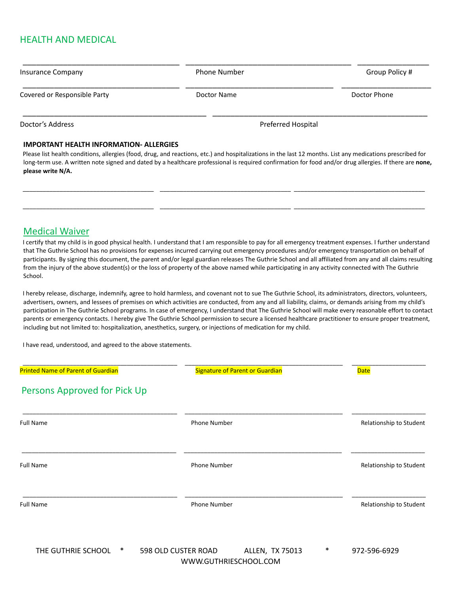## HEALTH AND MEDICAL

| Insurance Company            | <b>Phone Number</b> | Group Policy # |  |
|------------------------------|---------------------|----------------|--|
| Covered or Responsible Party | Doctor Name         | Doctor Phone   |  |
| Doctor's Address             | Preferred Hospital  |                |  |

### **IMPORTANT HEALTH INFORMATION- ALLERGIES**

Please list health conditions, allergies (food, drug, and reactions, etc.) and hospitalizations in the last 12 months. List any medications prescribed for long-term use. A written note signed and dated by a healthcare professional is required confirmation for food and/or drug allergies. If there are **none, please write N/A.**

\_\_\_\_\_\_\_\_\_\_\_\_\_\_\_\_\_\_\_\_\_\_\_\_\_\_\_\_\_\_\_\_\_\_\_\_\_\_\_ \_\_\_\_\_\_\_\_\_\_\_\_\_\_\_\_\_\_\_\_\_\_\_\_\_\_\_\_\_\_\_\_\_\_\_\_\_\_\_ \_\_\_\_\_\_\_\_\_\_\_\_\_\_\_\_\_\_\_\_\_\_\_\_\_\_\_\_\_\_\_\_\_\_\_\_\_\_\_

\_\_\_\_\_\_\_\_\_\_\_\_\_\_\_\_\_\_\_\_\_\_\_\_\_\_\_\_\_\_\_\_\_\_\_\_\_\_\_ \_\_\_\_\_\_\_\_\_\_\_\_\_\_\_\_\_\_\_\_\_\_\_\_\_\_\_\_\_\_\_\_\_\_\_\_\_\_\_ \_\_\_\_\_\_\_\_\_\_\_\_\_\_\_\_\_\_\_\_\_\_\_\_\_\_\_\_\_\_\_\_\_\_\_\_\_\_\_

### Medical Waiver

I certify that my child is in good physical health. I understand that I am responsible to pay for all emergency treatment expenses. I further understand that The Guthrie School has no provisions for expenses incurred carrying out emergency procedures and/or emergency transportation on behalf of participants. By signing this document, the parent and/or legal guardian releases The Guthrie School and all affiliated from any and all claims resulting from the injury of the above student(s) or the loss of property of the above named while participating in any activity connected with The Guthrie School.

I hereby release, discharge, indemnify, agree to hold harmless, and covenant not to sue The Guthrie School, its administrators, directors, volunteers, advertisers, owners, and lessees of premises on which activities are conducted, from any and all liability, claims, or demands arising from my child's participation in The Guthrie School programs. In case of emergency, I understand that The Guthrie School will make every reasonable effort to contact parents or emergency contacts. I hereby give The Guthrie School permission to secure a licensed healthcare practitioner to ensure proper treatment, including but not limited to: hospitalization, anesthetics, surgery, or injections of medication for my child.

I have read, understood, and agreed to the above statements.

| <b>Printed Name of Parent of Guardian</b> | <b>Signature of Parent or Guardian</b>                                      | <b>Date</b>             |
|-------------------------------------------|-----------------------------------------------------------------------------|-------------------------|
| Persons Approved for Pick Up              |                                                                             |                         |
| <b>Full Name</b>                          | Phone Number                                                                | Relationship to Student |
| <b>Full Name</b>                          | Phone Number                                                                | Relationship to Student |
| <b>Full Name</b>                          | Phone Number                                                                | Relationship to Student |
| THE CHITHDIE COHOOL<br>$\ast$             | $E_0$ $\Omega$ $D_1$ $D_2$ $E_1$ $E_2$ $D_3$ $D_4$ $D_5$<br>ALLENT TV 7E012 | $\ast$<br>072 EOG CO2O  |

THE GUTHRIE SCHOOL \* 598 OLD CUSTER ROAD ALLEN, TX 75013 \* 972-596-6929 WWW.GUTHRIESCHOOL.COM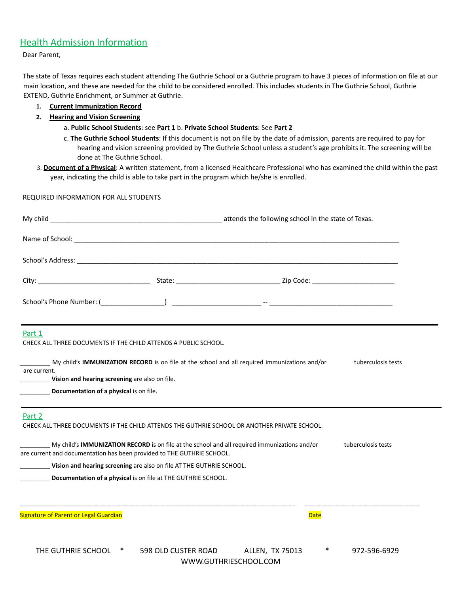## Health Admission Information

Dear Parent,

The state of Texas requires each student attending The Guthrie School or a Guthrie program to have 3 pieces of information on file at our main location, and these are needed for the child to be considered enrolled. This includes students in The Guthrie School, Guthrie EXTEND, Guthrie Enrichment, or Summer at Guthrie.

- **1. Current Immunization Record**
- **2. Hearing and Vision Screening**
	- a. **Public School Students**: see **Part 1** b. **Private School Students**: See **Part 2**
	- c. **The Guthrie School Students**: If this document is not on file by the date of admission, parents are required to pay for hearing and vision screening provided by The Guthrie School unless a student's age prohibits it. The screening will be done at The Guthrie School.
- 3. **Document of a Physical**: A written statement, from a licensed Healthcare Professional who has examined the child within the past year, indicating the child is able to take part in the program which he/she is enrolled.

#### REQUIRED INFORMATION FOR ALL STUDENTS

| Part 1<br>CHECK ALL THREE DOCUMENTS IF THE CHILD ATTENDS A PUBLIC SCHOOL. |                                                                                               |                    |
|---------------------------------------------------------------------------|-----------------------------------------------------------------------------------------------|--------------------|
| are current.<br>Vision and hearing screening are also on file.            | My child's IMMUNIZATION RECORD is on file at the school and all required immunizations and/or | tuberculosis tests |
| Documentation of a physical is on file.                                   |                                                                                               |                    |
| Part 2                                                                    | CHECK ALL THREE DOCUMENTS IF THE CHILD ATTENDS THE GUTHRIE SCHOOL OR ANOTHER PRIVATE SCHOOL.  |                    |
| are current and documentation has been provided to THE GUTHRIE SCHOOL.    | My child's IMMUNIZATION RECORD is on file at the school and all required immunizations and/or | tuberculosis tests |
| Vision and hearing screening are also on file AT THE GUTHRIE SCHOOL.      |                                                                                               |                    |
| Documentation of a physical is on file at THE GUTHRIE SCHOOL.             |                                                                                               |                    |
| <b>Signature of Parent or Legal Guardian</b>                              |                                                                                               | <b>Date</b>        |
|                                                                           |                                                                                               |                    |

| THE GUTHRIE SCHOOL | 598 OLD CUSTER ROAD   | ALLEN, TX 75013 | 972-596-6929 |
|--------------------|-----------------------|-----------------|--------------|
|                    | WWW.GUTHRIESCHOOL.COM |                 |              |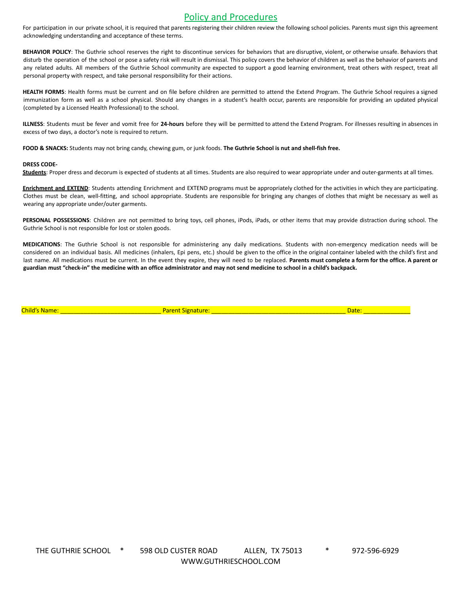## Policy and Procedures

For participation in our private school, it is required that parents registering their children review the following school policies. Parents must sign this agreement acknowledging understanding and acceptance of these terms.

**BEHAVIOR POLICY**: The Guthrie school reserves the right to discontinue services for behaviors that are disruptive, violent, or otherwise unsafe. Behaviors that disturb the operation of the school or pose a safety risk will result in dismissal. This policy covers the behavior of children as well as the behavior of parents and any related adults. All members of the Guthrie School community are expected to support a good learning environment, treat others with respect, treat all personal property with respect, and take personal responsibility for their actions.

HEALTH FORMS: Health forms must be current and on file before children are permitted to attend the Extend Program. The Guthrie School requires a signed immunization form as well as a school physical. Should any changes in a student's health occur, parents are responsible for providing an updated physical (completed by a Licensed Health Professional) to the school.

**ILLNESS**: Students must be fever and vomit free for **24-hours** before they will be permitted to attend the Extend Program. For illnesses resulting in absences in excess of two days, a doctor's note is required to return.

**FOOD & SNACKS:** Students may not bring candy, chewing gum, or junk foods. **The Guthrie School is nut and shell-fish free.**

#### **DRESS CODE-**

**Students**: Proper dress and decorum is expected of students at all times. Students are also required to wear appropriate under and outer-garments at all times.

**Enrichment and EXTEND**: Students attending Enrichment and EXTEND programs must be appropriately clothed for the activities in which they are participating. Clothes must be clean, well-fitting, and school appropriate. Students are responsible for bringing any changes of clothes that might be necessary as well as wearing any appropriate under/outer garments.

**PERSONAL POSSESSIONS**: Children are not permitted to bring toys, cell phones, iPods, iPads, or other items that may provide distraction during school. The Guthrie School is not responsible for lost or stolen goods.

**MEDICATIONS**: The Guthrie School is not responsible for administering any daily medications. Students with non-emergency medication needs will be considered on an individual basis. All medicines (inhalers, Epi pens, etc.) should be given to the office in the original container labeled with the child's first and last name. All medications must be current. In the event they expire, they will need to be replaced. Parents must complete a form for the office. A parent or guardian must "check-in" the medicine with an office administrator and may not send medicine to school in a child's backpack.

Child's Name: \_\_\_\_\_\_\_\_\_\_\_\_\_\_\_\_\_\_\_\_\_\_\_\_\_\_\_\_\_\_ Parent Signature: \_\_\_\_\_\_\_\_\_\_\_\_\_\_\_\_\_\_\_\_\_\_\_\_\_\_\_\_\_\_\_\_\_\_\_\_\_\_\_\_ Date: \_\_\_\_\_\_\_\_\_\_\_\_\_\_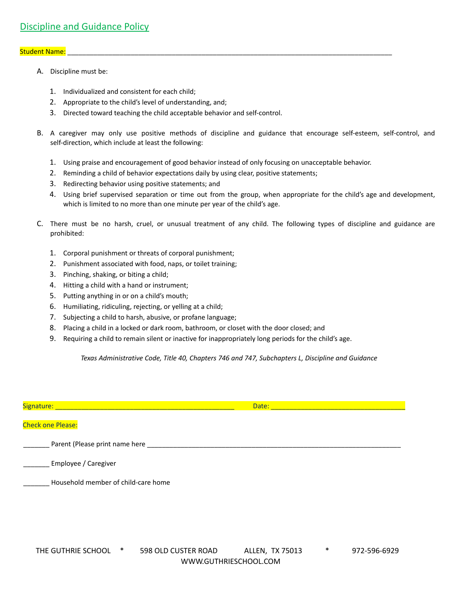#### Student Name:

- A. Discipline must be:
	- 1. Individualized and consistent for each child;
	- 2. Appropriate to the child's level of understanding, and;
	- 3. Directed toward teaching the child acceptable behavior and self-control.
- B. A caregiver may only use positive methods of discipline and guidance that encourage self-esteem, self-control, and self-direction, which include at least the following:
	- 1. Using praise and encouragement of good behavior instead of only focusing on unacceptable behavior.
	- 2. Reminding a child of behavior expectations daily by using clear, positive statements;
	- 3. Redirecting behavior using positive statements; and
	- 4. Using brief supervised separation or time out from the group, when appropriate for the child's age and development, which is limited to no more than one minute per year of the child's age.
- C. There must be no harsh, cruel, or unusual treatment of any child. The following types of discipline and guidance are prohibited:
	- 1. Corporal punishment or threats of corporal punishment;
	- 2. Punishment associated with food, naps, or toilet training;
	- 3. Pinching, shaking, or biting a child;
	- 4. Hitting a child with a hand or instrument;
	- 5. Putting anything in or on a child's mouth;
	- 6. Humiliating, ridiculing, rejecting, or yelling at a child;
	- 7. Subjecting a child to harsh, abusive, or profane language;
	- 8. Placing a child in a locked or dark room, bathroom, or closet with the door closed; and
	- 9. Requiring a child to remain silent or inactive for inappropriately long periods for the child's age.

*Texas Administrative Code, Title 40, Chapters 746 and 747, Subchapters L, Discipline and Guidance*

| Signature:                          | Date: |  |
|-------------------------------------|-------|--|
| <b>Check one Please:</b>            |       |  |
| Parent (Please print name here      |       |  |
| Employee / Caregiver                |       |  |
| Household member of child-care home |       |  |
|                                     |       |  |
|                                     |       |  |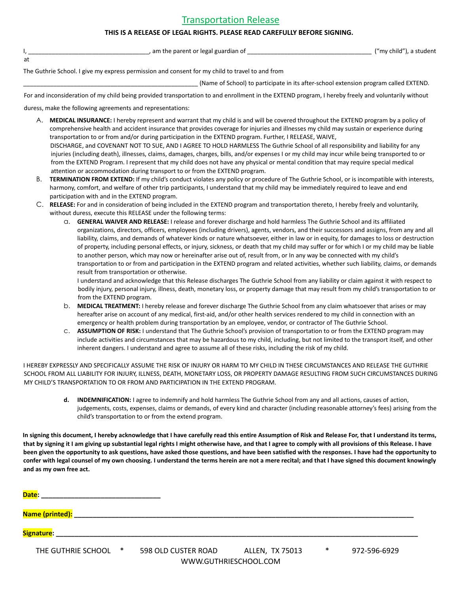## Transportation Release

#### **THIS IS A RELEASE OF LEGAL RIGHTS. PLEASE READ CAREFULLY BEFORE SIGNING.**

|    | t or legal guardian of<br>$\sim$ $\sim$ | ("my child")<br>$\sim$ $\sim$ |
|----|-----------------------------------------|-------------------------------|
| at |                                         |                               |

The Guthrie School. I give my express permission and consent for my child to travel to and from

(Name of School) to participate in its after-school extension program called EXTEND.

For and inconsideration of my child being provided transportation to and enrollment in the EXTEND program, I hereby freely and voluntarily without

duress, make the following agreements and representations:

- A. **MEDICAL INSURANCE:** I hereby represent and warrant that my child is and will be covered throughout the EXTEND program by a policy of comprehensive health and accident insurance that provides coverage for injuries and illnesses my child may sustain or experience during transportation to or from and/or during participation in the EXTEND program. Further, I RELEASE, WAIVE, DISCHARGE, and COVENANT NOT TO SUE, AND I AGREE TO HOLD HARMLESS The Guthrie School of all responsibility and liability for any injuries (including death), illnesses, claims, damages, charges, bills, and/or expenses I or my child may incur while being transported to or from the EXTEND Program. I represent that my child does not have any physical or mental condition that may require special medical attention or accommodation during transport to or from the EXTEND program.
- B. **TERMINATION FROM EXTEND:** If my child's conduct violates any policy or procedure of The Guthrie School, or is incompatible with interests, harmony, comfort, and welfare of other trip participants, I understand that my child may be immediately required to leave and end participation with and in the EXTEND program.
- C. **RELEASE:** For and in consideration of being included in the EXTEND program and transportation thereto, I hereby freely and voluntarily, without duress, execute this RELEASE under the following terms:
	- a. **GENERAL WAIVER AND RELEASE:** I release and forever discharge and hold harmless The Guthrie School and its affiliated organizations, directors, officers, employees (including drivers), agents, vendors, and their successors and assigns, from any and all liability, claims, and demands of whatever kinds or nature whatsoever, either in law or in equity, for damages to loss or destruction of property, including personal effects, or injury, sickness, or death that my child may suffer or for which I or my child may be liable to another person, which may now or hereinafter arise out of, result from, or In any way be connected with my child's transportation to or from and participation in the EXTEND program and related activities, whether such liability, claims, or demands result from transportation or otherwise.

I understand and acknowledge that this Release discharges The Guthrie School from any liability or claim against it with respect to bodily injury, personal injury, illness, death, monetary loss, or property damage that may result from my child's transportation to or from the EXTEND program.

- b. **MEDICAL TREATMENT:** I hereby release and forever discharge The Guthrie School from any claim whatsoever that arises or may hereafter arise on account of any medical, first-aid, and/or other health services rendered to my child in connection with an emergency or health problem during transportation by an employee, vendor, or contractor of The Guthrie School.
- c. **ASSUMPTION OF RISK:** I understand that The Guthrie School's provision of transportation to or from the EXTEND program may include activities and circumstances that may be hazardous to my child, including, but not limited to the transport itself, and other inherent dangers. I understand and agree to assume all of these risks, including the risk of my child.

I HEREBY EXPRESSLY AND SPECIFICALLY ASSUME THE RISK OF INJURY OR HARM TO MY CHILD IN THESE CIRCUMSTANCES AND RELEASE THE GUTHRIE SCHOOL FROM ALL LIABILITY FOR INJURY, ILLNESS, DEATH, MONETARY LOSS, OR PROPERTY DAMAGE RESULTING FROM SUCH CIRCUMSTANCES DURING MY CHILD'S TRANSPORTATION TO OR FROM AND PARTICIPATION IN THE EXTEND PROGRAM.

**d. INDEMNIFICATION:** I agree to indemnify and hold harmless The Guthrie School from any and all actions, causes of action, judgements, costs, expenses, claims or demands, of every kind and character (including reasonable attorney's fees) arising from the child's transportation to or from the extend program.

**In signing this document, I hereby acknowledge that I have carefully read this entire Assumption of Risk and Release For, that I understand its terms, that by signing it I am giving up substantial legal rights I might otherwise have, and that I agree to comply with all provisions of this Release. I have been given the opportunity to ask questions, have asked those questions, and have been satisfied with the responses. I have had the opportunity to confer with legal counsel of my own choosing. I understand the terms herein are not a mere recital; and that I have signed this document knowingly and as my own free act.**

**Date: \_\_\_\_\_\_\_\_\_\_\_\_\_\_\_\_\_\_\_\_\_\_\_\_\_\_\_\_\_\_\_\_**

**Name (printed): \_\_\_\_\_\_\_\_\_\_\_\_\_\_\_\_\_\_\_\_\_\_\_\_\_\_\_\_\_\_\_\_\_\_\_\_\_\_\_\_\_\_\_\_\_\_\_\_\_\_\_\_\_\_\_\_\_\_\_\_\_\_\_\_\_\_\_\_\_\_\_\_\_\_\_\_\_\_\_\_\_\_\_\_\_\_\_\_\_\_\_**

**Signature:**  $\blacksquare$